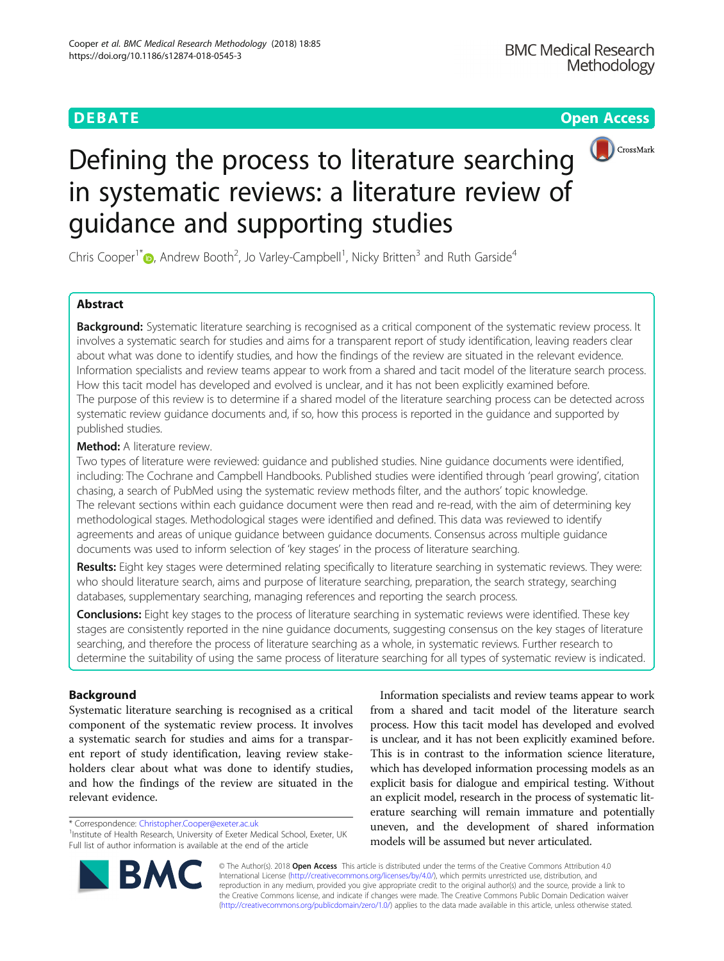**DEBATE CONSERVATION DEBATE CONSERVATION** 



# Defining the process to literature searching in systematic reviews: a literature review of guidance and supporting studies

Chris Cooper<sup>1\*</sup>  $\bullet$ [,](http://orcid.org/0000-0003-0864-5607) Andrew Booth<sup>2</sup>, Jo Varley-Campbell<sup>1</sup>, Nicky Britten<sup>3</sup> and Ruth Garside<sup>4</sup>

# Abstract

Background: Systematic literature searching is recognised as a critical component of the systematic review process. It involves a systematic search for studies and aims for a transparent report of study identification, leaving readers clear about what was done to identify studies, and how the findings of the review are situated in the relevant evidence. Information specialists and review teams appear to work from a shared and tacit model of the literature search process. How this tacit model has developed and evolved is unclear, and it has not been explicitly examined before. The purpose of this review is to determine if a shared model of the literature searching process can be detected across systematic review guidance documents and, if so, how this process is reported in the guidance and supported by published studies.

# **Method:** A literature review.

Two types of literature were reviewed: guidance and published studies. Nine guidance documents were identified, including: The Cochrane and Campbell Handbooks. Published studies were identified through 'pearl growing', citation chasing, a search of PubMed using the systematic review methods filter, and the authors' topic knowledge. The relevant sections within each guidance document were then read and re-read, with the aim of determining key methodological stages. Methodological stages were identified and defined. This data was reviewed to identify agreements and areas of unique guidance between guidance documents. Consensus across multiple guidance documents was used to inform selection of 'key stages' in the process of literature searching.

Results: Eight key stages were determined relating specifically to literature searching in systematic reviews. They were: who should literature search, aims and purpose of literature searching, preparation, the search strategy, searching databases, supplementary searching, managing references and reporting the search process.

Conclusions: Eight key stages to the process of literature searching in systematic reviews were identified. These key stages are consistently reported in the nine guidance documents, suggesting consensus on the key stages of literature searching, and therefore the process of literature searching as a whole, in systematic reviews. Further research to determine the suitability of using the same process of literature searching for all types of systematic review is indicated.

# Background

Systematic literature searching is recognised as a critical component of the systematic review process. It involves a systematic search for studies and aims for a transparent report of study identification, leaving review stakeholders clear about what was done to identify studies, and how the findings of the review are situated in the relevant evidence.

\* Correspondence: [Christopher.Cooper@exeter.ac.uk](mailto:Christopher.Cooper@exeter.ac.uk) <sup>1</sup>

<sup>1</sup> Institute of Health Research, University of Exeter Medical School, Exeter, UK Full list of author information is available at the end of the article



© The Author(s). 2018 Open Access This article is distributed under the terms of the Creative Commons Attribution 4.0 International License [\(http://creativecommons.org/licenses/by/4.0/](http://creativecommons.org/licenses/by/4.0/)), which permits unrestricted use, distribution, and reproduction in any medium, provided you give appropriate credit to the original author(s) and the source, provide a link to the Creative Commons license, and indicate if changes were made. The Creative Commons Public Domain Dedication waiver [\(http://creativecommons.org/publicdomain/zero/1.0/](http://creativecommons.org/publicdomain/zero/1.0/)) applies to the data made available in this article, unless otherwise stated.

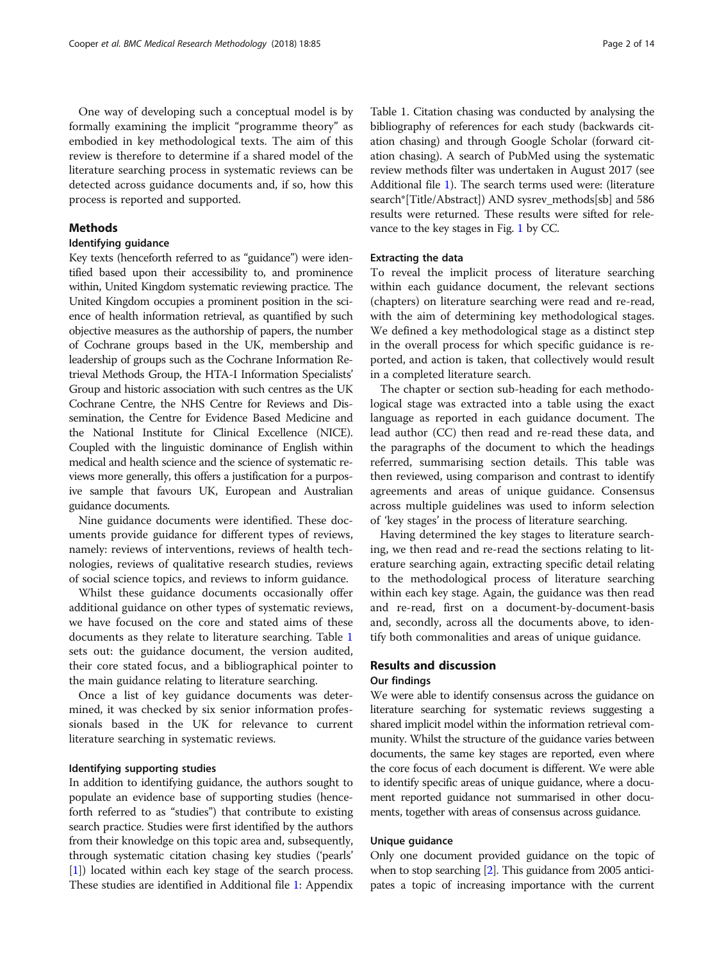<span id="page-1-0"></span>One way of developing such a conceptual model is by formally examining the implicit "programme theory" as embodied in key methodological texts. The aim of this review is therefore to determine if a shared model of the literature searching process in systematic reviews can be detected across guidance documents and, if so, how this process is reported and supported.

# **Methods**

# Identifying guidance

Key texts (henceforth referred to as "guidance") were identified based upon their accessibility to, and prominence within, United Kingdom systematic reviewing practice. The United Kingdom occupies a prominent position in the science of health information retrieval, as quantified by such objective measures as the authorship of papers, the number of Cochrane groups based in the UK, membership and leadership of groups such as the Cochrane Information Retrieval Methods Group, the HTA-I Information Specialists' Group and historic association with such centres as the UK Cochrane Centre, the NHS Centre for Reviews and Dissemination, the Centre for Evidence Based Medicine and the National Institute for Clinical Excellence (NICE). Coupled with the linguistic dominance of English within medical and health science and the science of systematic reviews more generally, this offers a justification for a purposive sample that favours UK, European and Australian guidance documents.

Nine guidance documents were identified. These documents provide guidance for different types of reviews, namely: reviews of interventions, reviews of health technologies, reviews of qualitative research studies, reviews of social science topics, and reviews to inform guidance.

Whilst these guidance documents occasionally offer additional guidance on other types of systematic reviews, we have focused on the core and stated aims of these documents as they relate to literature searching. Table [1](#page-2-0) sets out: the guidance document, the version audited, their core stated focus, and a bibliographical pointer to the main guidance relating to literature searching.

Once a list of key guidance documents was determined, it was checked by six senior information professionals based in the UK for relevance to current literature searching in systematic reviews.

# Identifying supporting studies

In addition to identifying guidance, the authors sought to populate an evidence base of supporting studies (henceforth referred to as "studies") that contribute to existing search practice. Studies were first identified by the authors from their knowledge on this topic area and, subsequently, through systematic citation chasing key studies ('pearls' [[1\]](#page-10-0)) located within each key stage of the search process. These studies are identified in Additional file [1](#page-10-0): Appendix

Table 1. Citation chasing was conducted by analysing the bibliography of references for each study (backwards citation chasing) and through Google Scholar (forward citation chasing). A search of PubMed using the systematic review methods filter was undertaken in August 2017 (see Additional file [1](#page-10-0)). The search terms used were: (literature search\*[Title/Abstract]) AND sysrev\_methods[sb] and 586 results were returned. These results were sifted for relevance to the key stages in Fig. [1](#page-2-0) by CC.

#### Extracting the data

To reveal the implicit process of literature searching within each guidance document, the relevant sections (chapters) on literature searching were read and re-read, with the aim of determining key methodological stages. We defined a key methodological stage as a distinct step in the overall process for which specific guidance is reported, and action is taken, that collectively would result in a completed literature search.

The chapter or section sub-heading for each methodological stage was extracted into a table using the exact language as reported in each guidance document. The lead author (CC) then read and re-read these data, and the paragraphs of the document to which the headings referred, summarising section details. This table was then reviewed, using comparison and contrast to identify agreements and areas of unique guidance. Consensus across multiple guidelines was used to inform selection of 'key stages' in the process of literature searching.

Having determined the key stages to literature searching, we then read and re-read the sections relating to literature searching again, extracting specific detail relating to the methodological process of literature searching within each key stage. Again, the guidance was then read and re-read, first on a document-by-document-basis and, secondly, across all the documents above, to identify both commonalities and areas of unique guidance.

# Results and discussion

# Our findings

We were able to identify consensus across the guidance on literature searching for systematic reviews suggesting a shared implicit model within the information retrieval community. Whilst the structure of the guidance varies between documents, the same key stages are reported, even where the core focus of each document is different. We were able to identify specific areas of unique guidance, where a document reported guidance not summarised in other documents, together with areas of consensus across guidance.

#### Unique guidance

Only one document provided guidance on the topic of when to stop searching [[2](#page-10-0)]. This guidance from 2005 anticipates a topic of increasing importance with the current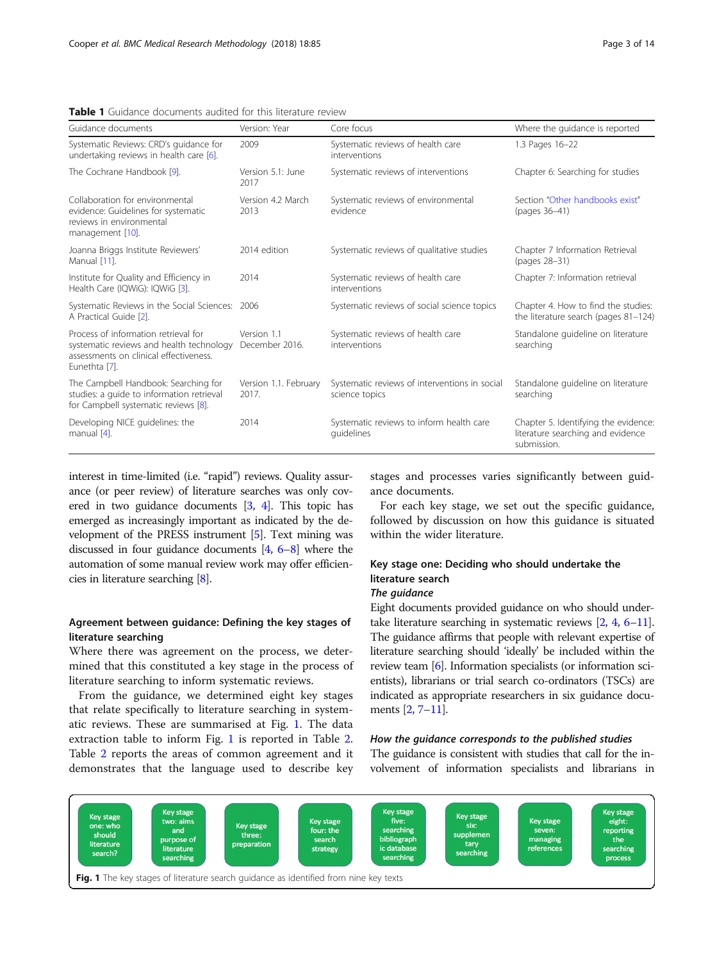| Table T Guidance documents addited for this ilterature review                                                                               |                                |                                                                 |                                                                                         |
|---------------------------------------------------------------------------------------------------------------------------------------------|--------------------------------|-----------------------------------------------------------------|-----------------------------------------------------------------------------------------|
| Guidance documents                                                                                                                          | Version: Year                  | Core focus                                                      | Where the guidance is reported                                                          |
| Systematic Reviews: CRD's guidance for<br>undertaking reviews in health care [6].                                                           | 2009                           | Systematic reviews of health care<br>interventions              | 1.3 Pages 16-22                                                                         |
| The Cochrane Handbook [9].                                                                                                                  | Version 5.1: June<br>2017      | Systematic reviews of interventions                             | Chapter 6: Searching for studies                                                        |
| Collaboration for environmental<br>evidence: Guidelines for systematic<br>reviews in environmental<br>management [10].                      | Version 4.2 March<br>2013      | Systematic reviews of environmental<br>evidence                 | Section "Other handbooks exist"<br>(pages 36-41)                                        |
| Joanna Briggs Institute Reviewers'<br>Manual [11].                                                                                          | 2014 edition                   | Systematic reviews of qualitative studies                       | Chapter 7 Information Retrieval<br>(pages 28-31)                                        |
| Institute for Quality and Efficiency in<br>Health Care (IQWiG): IQWiG [3].                                                                  | 2014                           | Systematic reviews of health care<br>interventions              | Chapter 7: Information retrieval                                                        |
| Systematic Reviews in the Social Sciences: 2006<br>A Practical Guide [2].                                                                   |                                | Systematic reviews of social science topics                     | Chapter 4. How to find the studies:<br>the literature search (pages 81-124)             |
| Process of information retrieval for<br>systematic reviews and health technology<br>assessments on clinical effectiveness.<br>Eunethta [7]. | Version 1.1<br>December 2016.  | Systematic reviews of health care<br>interventions              | Standalone guideline on literature<br>searching                                         |
| The Campbell Handbook: Searching for<br>studies: a quide to information retrieval<br>for Campbell systematic reviews [8].                   | Version 1.1. February<br>2017. | Systematic reviews of interventions in social<br>science topics | Standalone quideline on literature<br>searching                                         |
| Developing NICE guidelines: the<br>manual [4].                                                                                              | 2014                           | Systematic reviews to inform health care<br>quidelines          | Chapter 5. Identifying the evidence<br>literature searching and evidence<br>submission. |

<span id="page-2-0"></span>Table 1 Guidance documents audited for this literature review

interest in time-limited (i.e. "rapid") reviews. Quality assurance (or peer review) of literature searches was only covered in two guidance documents [\[3,](#page-10-0) [4\]](#page-10-0). This topic has emerged as increasingly important as indicated by the development of the PRESS instrument [\[5\]](#page-10-0). Text mining was discussed in four guidance documents [\[4,](#page-10-0) [6](#page-10-0)–[8\]](#page-10-0) where the automation of some manual review work may offer efficiencies in literature searching [[8](#page-10-0)].

# Agreement between guidance: Defining the key stages of literature searching

Where there was agreement on the process, we determined that this constituted a key stage in the process of literature searching to inform systematic reviews.

From the guidance, we determined eight key stages that relate specifically to literature searching in systematic reviews. These are summarised at Fig. 1. The data extraction table to inform Fig. 1 is reported in Table [2](#page-3-0). Table [2](#page-3-0) reports the areas of common agreement and it demonstrates that the language used to describe key

stages and processes varies significantly between guidance documents.

For each key stage, we set out the specific guidance, followed by discussion on how this guidance is situated within the wider literature.

# Key stage one: Deciding who should undertake the literature search

#### The *guidance*

Eight documents provided guidance on who should undertake literature searching in systematic reviews [\[2](#page-10-0), [4](#page-10-0), [6](#page-10-0)–[11](#page-10-0)]. The guidance affirms that people with relevant expertise of literature searching should 'ideally' be included within the review team [\[6\]](#page-10-0). Information specialists (or information scientists), librarians or trial search co-ordinators (TSCs) are indicated as appropriate researchers in six guidance documents [\[2](#page-10-0), [7](#page-10-0)–[11\]](#page-10-0).

#### How the guidance corresponds to the published studies

The guidance is consistent with studies that call for the involvement of information specialists and librarians in

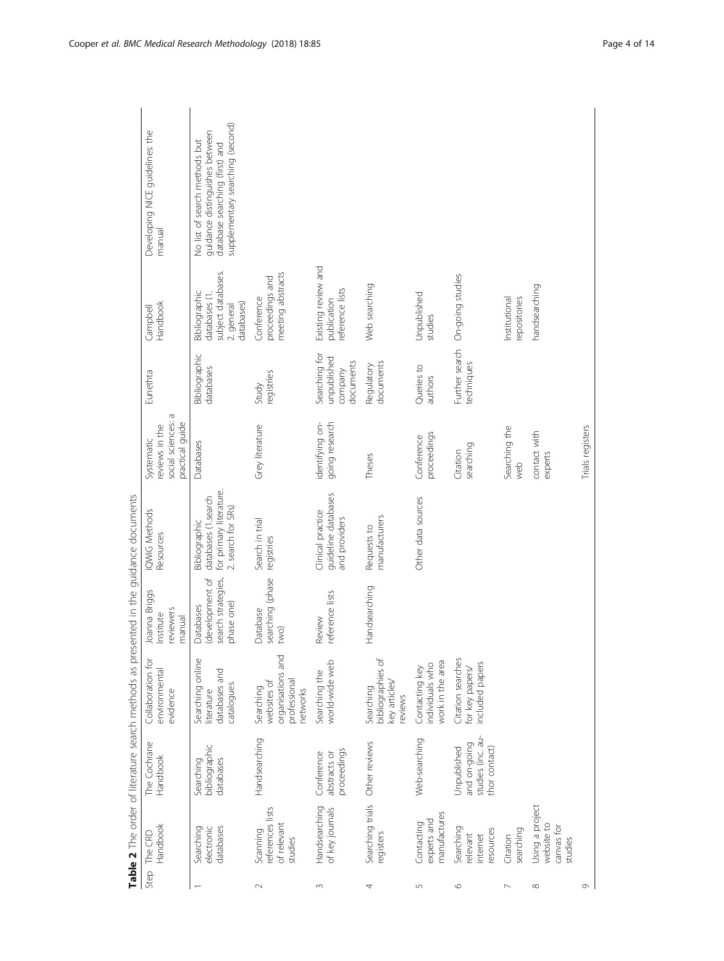<span id="page-3-0"></span>

|          |                                                        |                                                                          | Table 2 The order of literature search methods as presented in the guidance documents |                                                                  |                                                                                       |                                                                       |                                                      |                                                                                  |                                                                                                                                       |  |
|----------|--------------------------------------------------------|--------------------------------------------------------------------------|---------------------------------------------------------------------------------------|------------------------------------------------------------------|---------------------------------------------------------------------------------------|-----------------------------------------------------------------------|------------------------------------------------------|----------------------------------------------------------------------------------|---------------------------------------------------------------------------------------------------------------------------------------|--|
|          | Handbook<br>Step The CRD                               | The Cochrane<br>Handbook                                                 | Collaboration for<br>environmental<br>evidence                                        | Joanna Briggs<br>reviewers<br>Institute<br>manual                | <b>QWiG Methods</b><br>Resources                                                      | social sciences: a<br>practical guide<br>reviews in the<br>Systematic | Eunethta                                             | Handbook<br>Campbell                                                             | Developing NICE guidelines: the<br>manual                                                                                             |  |
|          | databases<br>electronic<br>Searching                   | bibliographic<br>databases<br>Searching                                  | Searching online<br>databases and<br>catalogues<br>literature                         | search strategies,<br>(development of<br>phase one)<br>Databases | for primary literature.<br>databases (1.search<br>2. search for SRs)<br>Bibliographic | Databases                                                             | Bibliographic<br>databases                           | subject databases.<br>Bibliographic<br>databases (1.<br>databases)<br>2. general | supplementary searching (second)<br>guidance distinguishes between<br>No list of search methods but<br>database searching (first) and |  |
|          | references lists<br>of relevant<br>Scanning<br>studies | Handsearching                                                            | organisations and<br>professional<br>websites of<br>Searching<br>networks             | searching (phase<br>Database<br>two)                             | Search in trial<br>registries                                                         | Grey literature                                                       | registries<br>Study                                  | meeting abstracts<br>proceedings and<br>Conference                               |                                                                                                                                       |  |
| $\infty$ | Handsearching<br>of key journals                       | proceedings<br>Conference<br>abstracts or                                | world-wide web<br>Searching the                                                       | reference lists<br>Review                                        | guideline databases<br>Clinical practice<br>and providers                             | going research<br>identifying on-                                     | Searching for<br>unpublished<br>documents<br>company | Existing review and<br>reference lists<br>publication                            |                                                                                                                                       |  |
|          | Searching trials<br>registers                          | Other reviews                                                            | bibliographies of<br>key articles/<br>Searching<br>eviews                             | Handsearching                                                    | manufacturers<br>Requests to                                                          | Theses                                                                | documents<br>Regulatory                              | Web searching                                                                    |                                                                                                                                       |  |
|          | manufactures<br>experts and<br>Contacting              | Web-searching                                                            | work in the area<br>individuals who<br>Contacting key                                 |                                                                  | Other data sources                                                                    | proceedings<br>Conference                                             | Queries to<br>authors                                | Unpublished<br>studies                                                           |                                                                                                                                       |  |
|          | Searching<br>resources<br>relevant<br>internet         | studies (inc. au-<br>and on-going<br>thor contact)<br><b>Jnpublished</b> | Citation searches<br>included papers<br>for key papers/                               |                                                                  |                                                                                       | searching<br>Citation                                                 | techniques                                           | Further search On-going studies                                                  |                                                                                                                                       |  |
|          | searching<br>Citation                                  |                                                                          |                                                                                       |                                                                  |                                                                                       | Searching the<br>web                                                  |                                                      | repositories<br>Institutional                                                    |                                                                                                                                       |  |
| $\infty$ | Using a project<br>website to<br>canvas for<br>studies |                                                                          |                                                                                       |                                                                  |                                                                                       | contact with<br>experts                                               |                                                      | handsearching                                                                    |                                                                                                                                       |  |
| ത        |                                                        |                                                                          |                                                                                       |                                                                  |                                                                                       | Trials registers                                                      |                                                      |                                                                                  |                                                                                                                                       |  |
|          |                                                        |                                                                          |                                                                                       |                                                                  |                                                                                       |                                                                       |                                                      |                                                                                  |                                                                                                                                       |  |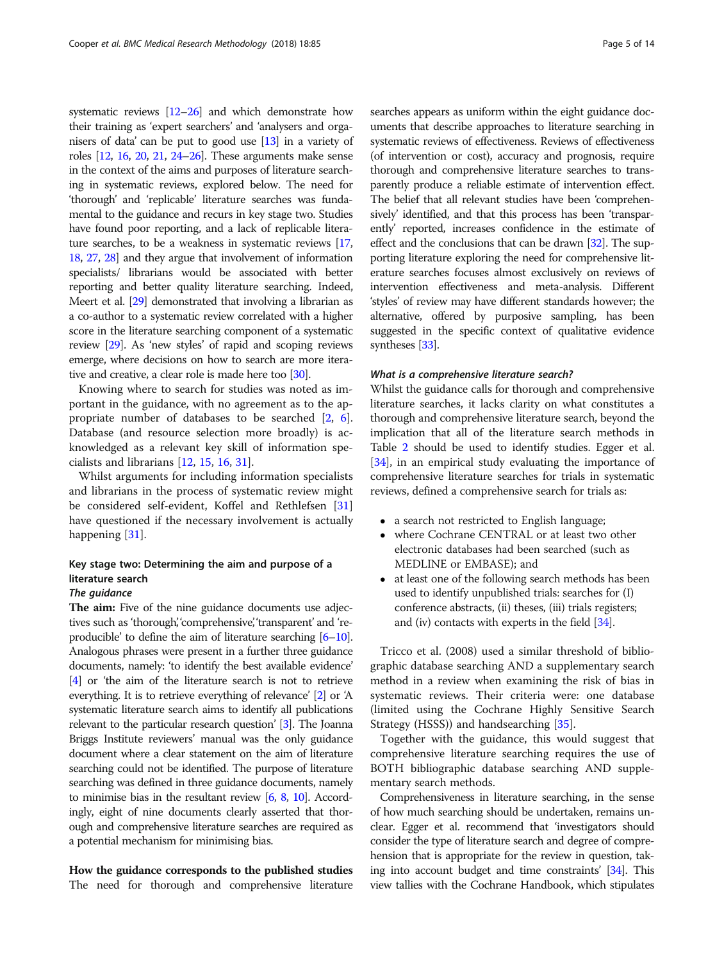systematic reviews [\[12](#page-10-0)–[26\]](#page-11-0) and which demonstrate how their training as 'expert searchers' and 'analysers and organisers of data' can be put to good use [[13\]](#page-10-0) in a variety of roles [[12](#page-10-0), [16,](#page-10-0) [20,](#page-10-0) [21](#page-10-0), [24](#page-11-0)–[26](#page-11-0)]. These arguments make sense in the context of the aims and purposes of literature searching in systematic reviews, explored below. The need for 'thorough' and 'replicable' literature searches was fundamental to the guidance and recurs in key stage two. Studies have found poor reporting, and a lack of replicable literature searches, to be a weakness in systematic reviews [\[17](#page-10-0), [18](#page-10-0), [27,](#page-11-0) [28](#page-11-0)] and they argue that involvement of information specialists/ librarians would be associated with better reporting and better quality literature searching. Indeed, Meert et al. [\[29](#page-11-0)] demonstrated that involving a librarian as a co-author to a systematic review correlated with a higher score in the literature searching component of a systematic review [\[29\]](#page-11-0). As 'new styles' of rapid and scoping reviews emerge, where decisions on how to search are more iterative and creative, a clear role is made here too [\[30\]](#page-11-0).

Knowing where to search for studies was noted as important in the guidance, with no agreement as to the appropriate number of databases to be searched [[2,](#page-10-0) [6](#page-10-0)]. Database (and resource selection more broadly) is acknowledged as a relevant key skill of information specialists and librarians [\[12,](#page-10-0) [15,](#page-10-0) [16,](#page-10-0) [31\]](#page-11-0).

Whilst arguments for including information specialists and librarians in the process of systematic review might be considered self-evident, Koffel and Rethlefsen [[31](#page-11-0)] have questioned if the necessary involvement is actually happening [\[31](#page-11-0)].

# Key stage two: Determining the aim and purpose of a literature search

# The *guidance*

The aim: Five of the nine guidance documents use adjectives such as 'thorough' 'comprehensive' 'transparent' and 'reproducible' to define the aim of literature searching [[6](#page-10-0)–[10](#page-10-0)]. Analogous phrases were present in a further three guidance documents, namely: 'to identify the best available evidence' [[4](#page-10-0)] or 'the aim of the literature search is not to retrieve everything. It is to retrieve everything of relevance' [\[2\]](#page-10-0) or 'A systematic literature search aims to identify all publications relevant to the particular research question' [[3](#page-10-0)]. The Joanna Briggs Institute reviewers' manual was the only guidance document where a clear statement on the aim of literature searching could not be identified. The purpose of literature searching was defined in three guidance documents, namely to minimise bias in the resultant review  $[6, 8, 10]$  $[6, 8, 10]$  $[6, 8, 10]$  $[6, 8, 10]$  $[6, 8, 10]$  $[6, 8, 10]$ . Accordingly, eight of nine documents clearly asserted that thorough and comprehensive literature searches are required as a potential mechanism for minimising bias.

How the guidance corresponds to the published studies The need for thorough and comprehensive literature

searches appears as uniform within the eight guidance documents that describe approaches to literature searching in systematic reviews of effectiveness. Reviews of effectiveness (of intervention or cost), accuracy and prognosis, require thorough and comprehensive literature searches to transparently produce a reliable estimate of intervention effect. The belief that all relevant studies have been 'comprehensively' identified, and that this process has been 'transparently' reported, increases confidence in the estimate of effect and the conclusions that can be drawn [[32](#page-11-0)]. The supporting literature exploring the need for comprehensive literature searches focuses almost exclusively on reviews of intervention effectiveness and meta-analysis. Different 'styles' of review may have different standards however; the alternative, offered by purposive sampling, has been suggested in the specific context of qualitative evidence syntheses [\[33\]](#page-11-0).

#### What is a comprehensive literature search?

Whilst the guidance calls for thorough and comprehensive literature searches, it lacks clarity on what constitutes a thorough and comprehensive literature search, beyond the implication that all of the literature search methods in Table [2](#page-3-0) should be used to identify studies. Egger et al. [[34](#page-11-0)], in an empirical study evaluating the importance of comprehensive literature searches for trials in systematic reviews, defined a comprehensive search for trials as:

- a search not restricted to English language;
- where Cochrane CENTRAL or at least two other electronic databases had been searched (such as MEDLINE or EMBASE); and
- at least one of the following search methods has been used to identify unpublished trials: searches for (I) conference abstracts, (ii) theses, (iii) trials registers; and (iv) contacts with experts in the field [[34\]](#page-11-0).

Tricco et al. (2008) used a similar threshold of bibliographic database searching AND a supplementary search method in a review when examining the risk of bias in systematic reviews. Their criteria were: one database (limited using the Cochrane Highly Sensitive Search Strategy (HSSS)) and handsearching [[35\]](#page-11-0).

Together with the guidance, this would suggest that comprehensive literature searching requires the use of BOTH bibliographic database searching AND supplementary search methods.

Comprehensiveness in literature searching, in the sense of how much searching should be undertaken, remains unclear. Egger et al. recommend that 'investigators should consider the type of literature search and degree of comprehension that is appropriate for the review in question, taking into account budget and time constraints' [\[34](#page-11-0)]. This view tallies with the Cochrane Handbook, which stipulates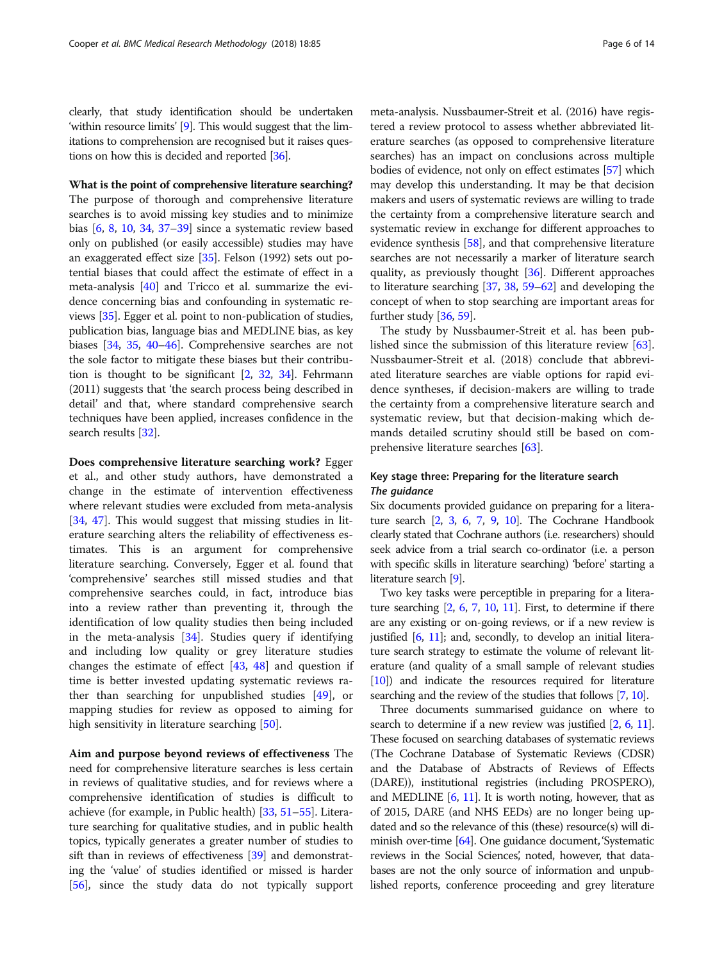clearly, that study identification should be undertaken 'within resource limits' [\[9\]](#page-10-0). This would suggest that the limitations to comprehension are recognised but it raises questions on how this is decided and reported [\[36](#page-11-0)].

What is the point of comprehensive literature searching?

The purpose of thorough and comprehensive literature searches is to avoid missing key studies and to minimize bias [[6,](#page-10-0) [8](#page-10-0), [10](#page-10-0), [34,](#page-11-0) [37](#page-11-0)–[39](#page-11-0)] since a systematic review based only on published (or easily accessible) studies may have an exaggerated effect size [\[35\]](#page-11-0). Felson (1992) sets out potential biases that could affect the estimate of effect in a meta-analysis [\[40\]](#page-11-0) and Tricco et al. summarize the evidence concerning bias and confounding in systematic reviews [\[35\]](#page-11-0). Egger et al. point to non-publication of studies, publication bias, language bias and MEDLINE bias, as key biases [\[34,](#page-11-0) [35,](#page-11-0) [40](#page-11-0)–[46\]](#page-11-0). Comprehensive searches are not the sole factor to mitigate these biases but their contribution is thought to be significant [\[2,](#page-10-0) [32,](#page-11-0) [34](#page-11-0)]. Fehrmann (2011) suggests that 'the search process being described in detail' and that, where standard comprehensive search techniques have been applied, increases confidence in the search results [[32](#page-11-0)].

Does comprehensive literature searching work? Egger et al., and other study authors, have demonstrated a change in the estimate of intervention effectiveness where relevant studies were excluded from meta-analysis [[34,](#page-11-0) [47\]](#page-11-0). This would suggest that missing studies in literature searching alters the reliability of effectiveness estimates. This is an argument for comprehensive literature searching. Conversely, Egger et al. found that 'comprehensive' searches still missed studies and that comprehensive searches could, in fact, introduce bias into a review rather than preventing it, through the identification of low quality studies then being included in the meta-analysis [\[34](#page-11-0)]. Studies query if identifying and including low quality or grey literature studies changes the estimate of effect  $[43, 48]$  $[43, 48]$  $[43, 48]$  $[43, 48]$  and question if time is better invested updating systematic reviews rather than searching for unpublished studies [\[49](#page-11-0)], or mapping studies for review as opposed to aiming for high sensitivity in literature searching [[50\]](#page-11-0).

Aim and purpose beyond reviews of effectiveness The need for comprehensive literature searches is less certain in reviews of qualitative studies, and for reviews where a comprehensive identification of studies is difficult to achieve (for example, in Public health) [\[33,](#page-11-0) [51](#page-11-0)–[55\]](#page-11-0). Literature searching for qualitative studies, and in public health topics, typically generates a greater number of studies to sift than in reviews of effectiveness [[39](#page-11-0)] and demonstrating the 'value' of studies identified or missed is harder [[56](#page-11-0)], since the study data do not typically support

meta-analysis. Nussbaumer-Streit et al. (2016) have registered a review protocol to assess whether abbreviated literature searches (as opposed to comprehensive literature searches) has an impact on conclusions across multiple bodies of evidence, not only on effect estimates [\[57\]](#page-11-0) which may develop this understanding. It may be that decision makers and users of systematic reviews are willing to trade the certainty from a comprehensive literature search and systematic review in exchange for different approaches to evidence synthesis [\[58](#page-11-0)], and that comprehensive literature searches are not necessarily a marker of literature search quality, as previously thought [\[36](#page-11-0)]. Different approaches to literature searching [\[37,](#page-11-0) [38,](#page-11-0) [59](#page-11-0)–[62\]](#page-11-0) and developing the concept of when to stop searching are important areas for further study [\[36,](#page-11-0) [59](#page-11-0)].

The study by Nussbaumer-Streit et al. has been published since the submission of this literature review [\[63](#page-11-0)]. Nussbaumer-Streit et al. (2018) conclude that abbreviated literature searches are viable options for rapid evidence syntheses, if decision-makers are willing to trade the certainty from a comprehensive literature search and systematic review, but that decision-making which demands detailed scrutiny should still be based on comprehensive literature searches [[63\]](#page-11-0).

# Key stage three: Preparing for the literature search The guidance

Six documents provided guidance on preparing for a literature search [[2](#page-10-0), [3,](#page-10-0) [6](#page-10-0), [7,](#page-10-0) [9](#page-10-0), [10\]](#page-10-0). The Cochrane Handbook clearly stated that Cochrane authors (i.e. researchers) should seek advice from a trial search co-ordinator (i.e. a person with specific skills in literature searching) 'before' starting a literature search [\[9](#page-10-0)].

Two key tasks were perceptible in preparing for a literature searching [[2](#page-10-0), [6,](#page-10-0) [7](#page-10-0), [10](#page-10-0), [11](#page-10-0)]. First, to determine if there are any existing or on-going reviews, or if a new review is justified [\[6,](#page-10-0) [11](#page-10-0)]; and, secondly, to develop an initial literature search strategy to estimate the volume of relevant literature (and quality of a small sample of relevant studies [[10](#page-10-0)]) and indicate the resources required for literature searching and the review of the studies that follows [\[7,](#page-10-0) [10\]](#page-10-0).

Three documents summarised guidance on where to search to determine if a new review was justified [\[2](#page-10-0), [6,](#page-10-0) [11](#page-10-0)]. These focused on searching databases of systematic reviews (The Cochrane Database of Systematic Reviews (CDSR) and the Database of Abstracts of Reviews of Effects (DARE)), institutional registries (including PROSPERO), and MEDLINE [\[6,](#page-10-0) [11](#page-10-0)]. It is worth noting, however, that as of 2015, DARE (and NHS EEDs) are no longer being updated and so the relevance of this (these) resource(s) will di-minish over-time [[64\]](#page-11-0). One guidance document, 'Systematic reviews in the Social Sciences', noted, however, that databases are not the only source of information and unpublished reports, conference proceeding and grey literature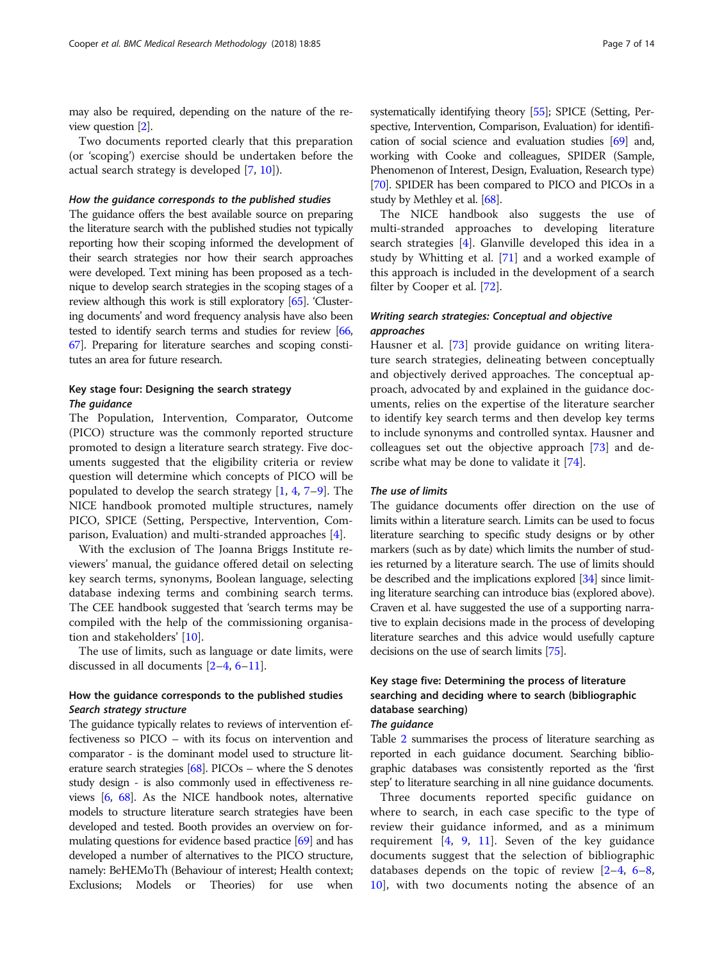may also be required, depending on the nature of the review question [\[2\]](#page-10-0).

Two documents reported clearly that this preparation (or 'scoping') exercise should be undertaken before the actual search strategy is developed [[7,](#page-10-0) [10\]](#page-10-0)).

#### How the guidance corresponds to the published studies

The guidance offers the best available source on preparing the literature search with the published studies not typically reporting how their scoping informed the development of their search strategies nor how their search approaches were developed. Text mining has been proposed as a technique to develop search strategies in the scoping stages of a review although this work is still exploratory [\[65](#page-11-0)]. 'Clustering documents' and word frequency analysis have also been tested to identify search terms and studies for review [\[66](#page-11-0), [67](#page-11-0)]. Preparing for literature searches and scoping constitutes an area for future research.

# Key stage four: Designing the search strategy The guidance

The Population, Intervention, Comparator, Outcome (PICO) structure was the commonly reported structure promoted to design a literature search strategy. Five documents suggested that the eligibility criteria or review question will determine which concepts of PICO will be populated to develop the search strategy [[1,](#page-10-0) [4,](#page-10-0) [7](#page-10-0)–[9\]](#page-10-0). The NICE handbook promoted multiple structures, namely PICO, SPICE (Setting, Perspective, Intervention, Comparison, Evaluation) and multi-stranded approaches [\[4](#page-10-0)].

With the exclusion of The Joanna Briggs Institute reviewers' manual, the guidance offered detail on selecting key search terms, synonyms, Boolean language, selecting database indexing terms and combining search terms. The CEE handbook suggested that 'search terms may be compiled with the help of the commissioning organisation and stakeholders' [[10](#page-10-0)].

The use of limits, such as language or date limits, were discussed in all documents [[2](#page-10-0)–[4](#page-10-0), [6](#page-10-0)–[11](#page-10-0)].

# How the guidance corresponds to the published studies Search strategy structure

The guidance typically relates to reviews of intervention effectiveness so PICO – with its focus on intervention and comparator - is the dominant model used to structure literature search strategies [[68](#page-11-0)]. PICOs – where the S denotes study design - is also commonly used in effectiveness reviews [\[6,](#page-10-0) [68](#page-11-0)]. As the NICE handbook notes, alternative models to structure literature search strategies have been developed and tested. Booth provides an overview on formulating questions for evidence based practice [\[69\]](#page-11-0) and has developed a number of alternatives to the PICO structure, namely: BeHEMoTh (Behaviour of interest; Health context; Exclusions; Models or Theories) for use when

systematically identifying theory [\[55](#page-11-0)]; SPICE (Setting, Perspective, Intervention, Comparison, Evaluation) for identification of social science and evaluation studies [[69](#page-11-0)] and, working with Cooke and colleagues, SPIDER (Sample, Phenomenon of Interest, Design, Evaluation, Research type) [[70](#page-11-0)]. SPIDER has been compared to PICO and PICOs in a study by Methley et al. [[68](#page-11-0)].

The NICE handbook also suggests the use of multi-stranded approaches to developing literature search strategies [[4\]](#page-10-0). Glanville developed this idea in a study by Whitting et al. [\[71](#page-12-0)] and a worked example of this approach is included in the development of a search filter by Cooper et al. [\[72\]](#page-12-0).

# Writing search strategies: Conceptual and objective approaches

Hausner et al. [\[73](#page-12-0)] provide guidance on writing literature search strategies, delineating between conceptually and objectively derived approaches. The conceptual approach, advocated by and explained in the guidance documents, relies on the expertise of the literature searcher to identify key search terms and then develop key terms to include synonyms and controlled syntax. Hausner and colleagues set out the objective approach [\[73](#page-12-0)] and de-scribe what may be done to validate it [[74\]](#page-12-0).

# The use of limits

The guidance documents offer direction on the use of limits within a literature search. Limits can be used to focus literature searching to specific study designs or by other markers (such as by date) which limits the number of studies returned by a literature search. The use of limits should be described and the implications explored [\[34\]](#page-11-0) since limiting literature searching can introduce bias (explored above). Craven et al. have suggested the use of a supporting narrative to explain decisions made in the process of developing literature searches and this advice would usefully capture decisions on the use of search limits [\[75\]](#page-12-0).

# Key stage five: Determining the process of literature searching and deciding where to search (bibliographic database searching)

# The guidance

Table [2](#page-3-0) summarises the process of literature searching as reported in each guidance document. Searching bibliographic databases was consistently reported as the 'first step' to literature searching in all nine guidance documents.

Three documents reported specific guidance on where to search, in each case specific to the type of review their guidance informed, and as a minimum requirement  $[4, 9, 11]$  $[4, 9, 11]$  $[4, 9, 11]$  $[4, 9, 11]$  $[4, 9, 11]$  $[4, 9, 11]$ . Seven of the key guidance documents suggest that the selection of bibliographic databases depends on the topic of review  $[2-4, 6-8, 6-8]$  $[2-4, 6-8, 6-8]$  $[2-4, 6-8, 6-8]$  $[2-4, 6-8, 6-8]$  $[2-4, 6-8, 6-8]$  $[2-4, 6-8, 6-8]$  $[2-4, 6-8, 6-8]$  $[2-4, 6-8, 6-8]$ [10\]](#page-10-0), with two documents noting the absence of an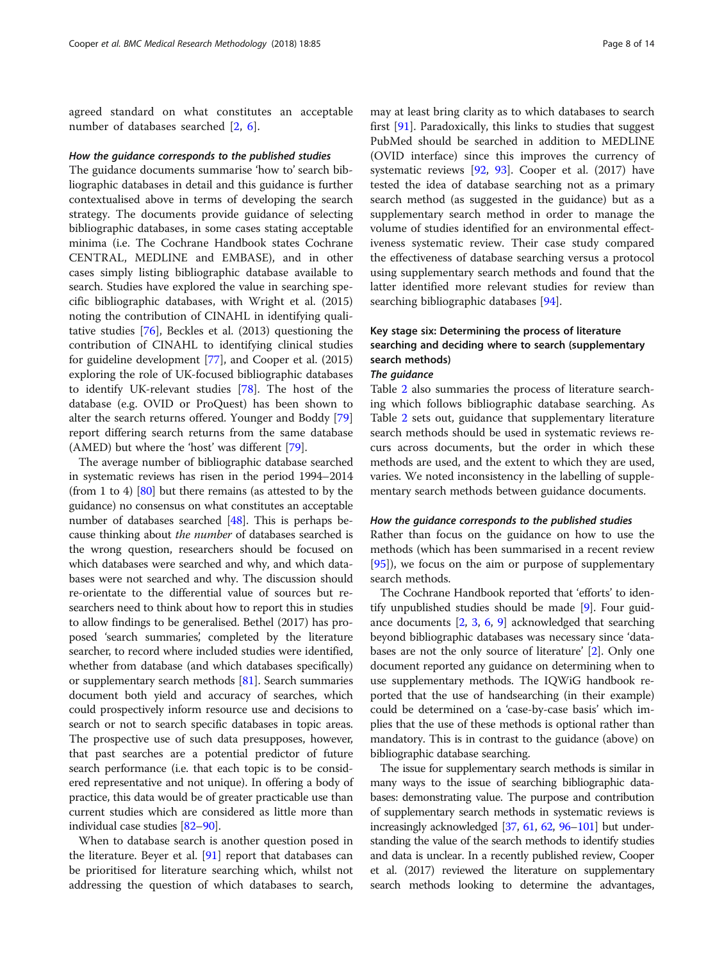agreed standard on what constitutes an acceptable number of databases searched [\[2](#page-10-0), [6](#page-10-0)].

#### How the guidance corresponds to the published studies

The guidance documents summarise 'how to' search bibliographic databases in detail and this guidance is further contextualised above in terms of developing the search strategy. The documents provide guidance of selecting bibliographic databases, in some cases stating acceptable minima (i.e. The Cochrane Handbook states Cochrane CENTRAL, MEDLINE and EMBASE), and in other cases simply listing bibliographic database available to search. Studies have explored the value in searching specific bibliographic databases, with Wright et al. (2015) noting the contribution of CINAHL in identifying qualitative studies [\[76](#page-12-0)], Beckles et al. (2013) questioning the contribution of CINAHL to identifying clinical studies for guideline development [\[77\]](#page-12-0), and Cooper et al. (2015) exploring the role of UK-focused bibliographic databases to identify UK-relevant studies [[78\]](#page-12-0). The host of the database (e.g. OVID or ProQuest) has been shown to alter the search returns offered. Younger and Boddy [[79](#page-12-0)] report differing search returns from the same database (AMED) but where the 'host' was different [[79\]](#page-12-0).

The average number of bibliographic database searched in systematic reviews has risen in the period 1994–2014 (from 1 to 4) [\[80](#page-12-0)] but there remains (as attested to by the guidance) no consensus on what constitutes an acceptable number of databases searched [[48](#page-11-0)]. This is perhaps because thinking about the number of databases searched is the wrong question, researchers should be focused on which databases were searched and why, and which databases were not searched and why. The discussion should re-orientate to the differential value of sources but researchers need to think about how to report this in studies to allow findings to be generalised. Bethel (2017) has proposed 'search summaries', completed by the literature searcher, to record where included studies were identified, whether from database (and which databases specifically) or supplementary search methods [[81](#page-12-0)]. Search summaries document both yield and accuracy of searches, which could prospectively inform resource use and decisions to search or not to search specific databases in topic areas. The prospective use of such data presupposes, however, that past searches are a potential predictor of future search performance (i.e. that each topic is to be considered representative and not unique). In offering a body of practice, this data would be of greater practicable use than current studies which are considered as little more than individual case studies [\[82](#page-12-0)–[90\]](#page-12-0).

When to database search is another question posed in the literature. Beyer et al. [\[91](#page-12-0)] report that databases can be prioritised for literature searching which, whilst not addressing the question of which databases to search,

may at least bring clarity as to which databases to search first [\[91](#page-12-0)]. Paradoxically, this links to studies that suggest PubMed should be searched in addition to MEDLINE (OVID interface) since this improves the currency of systematic reviews [\[92](#page-12-0), [93](#page-12-0)]. Cooper et al. (2017) have tested the idea of database searching not as a primary search method (as suggested in the guidance) but as a supplementary search method in order to manage the volume of studies identified for an environmental effectiveness systematic review. Their case study compared the effectiveness of database searching versus a protocol using supplementary search methods and found that the latter identified more relevant studies for review than searching bibliographic databases [\[94](#page-12-0)].

# Key stage six: Determining the process of literature searching and deciding where to search (supplementary search methods)

# The guidance

Table [2](#page-3-0) also summaries the process of literature searching which follows bibliographic database searching. As Table [2](#page-3-0) sets out, guidance that supplementary literature search methods should be used in systematic reviews recurs across documents, but the order in which these methods are used, and the extent to which they are used, varies. We noted inconsistency in the labelling of supplementary search methods between guidance documents.

#### How the guidance corresponds to the published studies

Rather than focus on the guidance on how to use the methods (which has been summarised in a recent review [[95\]](#page-12-0)), we focus on the aim or purpose of supplementary search methods.

The Cochrane Handbook reported that 'efforts' to identify unpublished studies should be made [\[9](#page-10-0)]. Four guidance documents [[2,](#page-10-0) [3](#page-10-0), [6,](#page-10-0) [9](#page-10-0)] acknowledged that searching beyond bibliographic databases was necessary since 'databases are not the only source of literature' [[2](#page-10-0)]. Only one document reported any guidance on determining when to use supplementary methods. The IQWiG handbook reported that the use of handsearching (in their example) could be determined on a 'case-by-case basis' which implies that the use of these methods is optional rather than mandatory. This is in contrast to the guidance (above) on bibliographic database searching.

The issue for supplementary search methods is similar in many ways to the issue of searching bibliographic databases: demonstrating value. The purpose and contribution of supplementary search methods in systematic reviews is increasingly acknowledged [\[37](#page-11-0), [61,](#page-11-0) [62,](#page-11-0) [96](#page-12-0)–[101](#page-12-0)] but understanding the value of the search methods to identify studies and data is unclear. In a recently published review, Cooper et al. (2017) reviewed the literature on supplementary search methods looking to determine the advantages,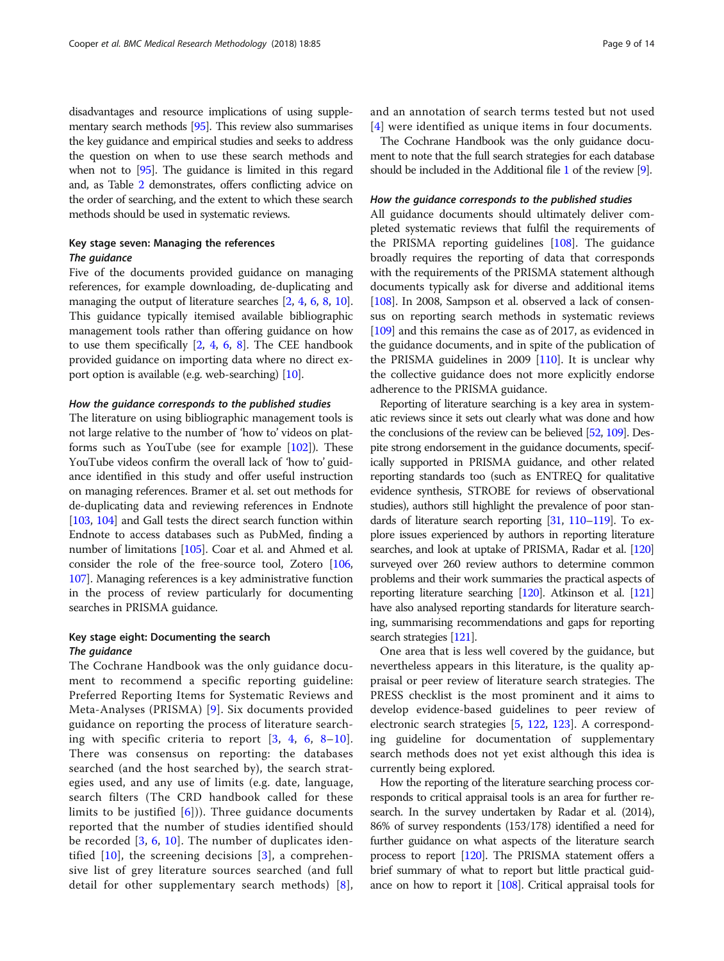disadvantages and resource implications of using supplementary search methods [[95](#page-12-0)]. This review also summarises the key guidance and empirical studies and seeks to address the question on when to use these search methods and when not to [\[95](#page-12-0)]. The guidance is limited in this regard and, as Table [2](#page-3-0) demonstrates, offers conflicting advice on the order of searching, and the extent to which these search methods should be used in systematic reviews.

# Key stage seven: Managing the references The guidance

Five of the documents provided guidance on managing references, for example downloading, de-duplicating and managing the output of literature searches [\[2](#page-10-0), [4](#page-10-0), [6](#page-10-0), [8](#page-10-0), [10](#page-10-0)]. This guidance typically itemised available bibliographic management tools rather than offering guidance on how to use them specifically [[2](#page-10-0), [4,](#page-10-0) [6,](#page-10-0) [8\]](#page-10-0). The CEE handbook provided guidance on importing data where no direct export option is available (e.g. web-searching) [\[10\]](#page-10-0).

#### How the guidance corresponds to the published studies

The literature on using bibliographic management tools is not large relative to the number of 'how to' videos on platforms such as YouTube (see for example  $[102]$ ). These YouTube videos confirm the overall lack of 'how to' guidance identified in this study and offer useful instruction on managing references. Bramer et al. set out methods for de-duplicating data and reviewing references in Endnote [[103](#page-12-0), [104\]](#page-12-0) and Gall tests the direct search function within Endnote to access databases such as PubMed, finding a number of limitations [\[105\]](#page-12-0). Coar et al. and Ahmed et al. consider the role of the free-source tool, Zotero [\[106](#page-12-0), [107](#page-12-0)]. Managing references is a key administrative function in the process of review particularly for documenting searches in PRISMA guidance.

# Key stage eight: Documenting the search The guidance

The Cochrane Handbook was the only guidance document to recommend a specific reporting guideline: Preferred Reporting Items for Systematic Reviews and Meta-Analyses (PRISMA) [\[9](#page-10-0)]. Six documents provided guidance on reporting the process of literature searching with specific criteria to report  $\begin{bmatrix} 3, 4, 6, 8-10 \end{bmatrix}$  $\begin{bmatrix} 3, 4, 6, 8-10 \end{bmatrix}$  $\begin{bmatrix} 3, 4, 6, 8-10 \end{bmatrix}$  $\begin{bmatrix} 3, 4, 6, 8-10 \end{bmatrix}$  $\begin{bmatrix} 3, 4, 6, 8-10 \end{bmatrix}$  $\begin{bmatrix} 3, 4, 6, 8-10 \end{bmatrix}$  $\begin{bmatrix} 3, 4, 6, 8-10 \end{bmatrix}$  $\begin{bmatrix} 3, 4, 6, 8-10 \end{bmatrix}$  $\begin{bmatrix} 3, 4, 6, 8-10 \end{bmatrix}$  $\begin{bmatrix} 3, 4, 6, 8-10 \end{bmatrix}$  $\begin{bmatrix} 3, 4, 6, 8-10 \end{bmatrix}$ . There was consensus on reporting: the databases searched (and the host searched by), the search strategies used, and any use of limits (e.g. date, language, search filters (The CRD handbook called for these limits to be justified  $[6]$  $[6]$ )). Three guidance documents reported that the number of studies identified should be recorded [[3](#page-10-0), [6,](#page-10-0) [10\]](#page-10-0). The number of duplicates identified  $[10]$  $[10]$  $[10]$ , the screening decisions  $[3]$  $[3]$ , a comprehensive list of grey literature sources searched (and full detail for other supplementary search methods) [[8](#page-10-0)],

and an annotation of search terms tested but not used [[4](#page-10-0)] were identified as unique items in four documents.

The Cochrane Handbook was the only guidance document to note that the full search strategies for each database should be included in the Additional file [1](#page-10-0) of the review [\[9\]](#page-10-0).

#### How the guidance corresponds to the published studies

All guidance documents should ultimately deliver completed systematic reviews that fulfil the requirements of the PRISMA reporting guidelines [\[108](#page-12-0)]. The guidance broadly requires the reporting of data that corresponds with the requirements of the PRISMA statement although documents typically ask for diverse and additional items [[108](#page-12-0)]. In 2008, Sampson et al. observed a lack of consensus on reporting search methods in systematic reviews [[109](#page-12-0)] and this remains the case as of 2017, as evidenced in the guidance documents, and in spite of the publication of the PRISMA guidelines in 2009  $[110]$  $[110]$ . It is unclear why the collective guidance does not more explicitly endorse adherence to the PRISMA guidance.

Reporting of literature searching is a key area in systematic reviews since it sets out clearly what was done and how the conclusions of the review can be believed [\[52](#page-11-0), [109\]](#page-12-0). Despite strong endorsement in the guidance documents, specifically supported in PRISMA guidance, and other related reporting standards too (such as ENTREQ for qualitative evidence synthesis, STROBE for reviews of observational studies), authors still highlight the prevalence of poor standards of literature search reporting [[31](#page-11-0), [110](#page-12-0)–[119\]](#page-13-0). To explore issues experienced by authors in reporting literature searches, and look at uptake of PRISMA, Radar et al. [\[120](#page-13-0)] surveyed over 260 review authors to determine common problems and their work summaries the practical aspects of reporting literature searching [[120\]](#page-13-0). Atkinson et al. [\[121](#page-13-0)] have also analysed reporting standards for literature searching, summarising recommendations and gaps for reporting search strategies [\[121\]](#page-13-0).

One area that is less well covered by the guidance, but nevertheless appears in this literature, is the quality appraisal or peer review of literature search strategies. The PRESS checklist is the most prominent and it aims to develop evidence-based guidelines to peer review of electronic search strategies [\[5](#page-10-0), [122,](#page-13-0) [123](#page-13-0)]. A corresponding guideline for documentation of supplementary search methods does not yet exist although this idea is currently being explored.

How the reporting of the literature searching process corresponds to critical appraisal tools is an area for further research. In the survey undertaken by Radar et al. (2014), 86% of survey respondents (153/178) identified a need for further guidance on what aspects of the literature search process to report [\[120](#page-13-0)]. The PRISMA statement offers a brief summary of what to report but little practical guidance on how to report it [[108\]](#page-12-0). Critical appraisal tools for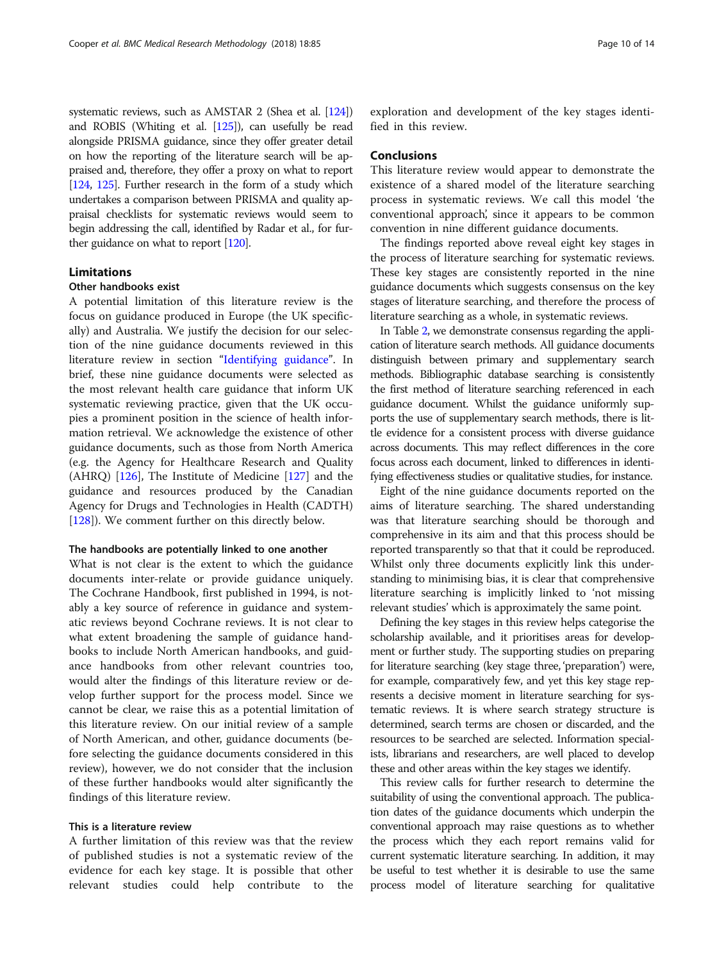<span id="page-9-0"></span>systematic reviews, such as AMSTAR 2 (Shea et al. [\[124](#page-13-0)]) and ROBIS (Whiting et al. [\[125](#page-13-0)]), can usefully be read alongside PRISMA guidance, since they offer greater detail on how the reporting of the literature search will be appraised and, therefore, they offer a proxy on what to report [[124,](#page-13-0) [125\]](#page-13-0). Further research in the form of a study which undertakes a comparison between PRISMA and quality appraisal checklists for systematic reviews would seem to begin addressing the call, identified by Radar et al., for further guidance on what to report [\[120\]](#page-13-0).

# Limitations

# Other handbooks exist

A potential limitation of this literature review is the focus on guidance produced in Europe (the UK specifically) and Australia. We justify the decision for our selection of the nine guidance documents reviewed in this literature review in section "[Identifying guidance](#page-1-0)". In brief, these nine guidance documents were selected as the most relevant health care guidance that inform UK systematic reviewing practice, given that the UK occupies a prominent position in the science of health information retrieval. We acknowledge the existence of other guidance documents, such as those from North America (e.g. the Agency for Healthcare Research and Quality (AHRQ) [\[126](#page-13-0)], The Institute of Medicine [[127\]](#page-13-0) and the guidance and resources produced by the Canadian Agency for Drugs and Technologies in Health (CADTH) [[128\]](#page-13-0)). We comment further on this directly below.

# The handbooks are potentially linked to one another

What is not clear is the extent to which the guidance documents inter-relate or provide guidance uniquely. The Cochrane Handbook, first published in 1994, is notably a key source of reference in guidance and systematic reviews beyond Cochrane reviews. It is not clear to what extent broadening the sample of guidance handbooks to include North American handbooks, and guidance handbooks from other relevant countries too, would alter the findings of this literature review or develop further support for the process model. Since we cannot be clear, we raise this as a potential limitation of this literature review. On our initial review of a sample of North American, and other, guidance documents (before selecting the guidance documents considered in this review), however, we do not consider that the inclusion of these further handbooks would alter significantly the findings of this literature review.

# This is a literature review

A further limitation of this review was that the review of published studies is not a systematic review of the evidence for each key stage. It is possible that other relevant studies could help contribute to the exploration and development of the key stages identified in this review.

### Conclusions

This literature review would appear to demonstrate the existence of a shared model of the literature searching process in systematic reviews. We call this model 'the conventional approach', since it appears to be common convention in nine different guidance documents.

The findings reported above reveal eight key stages in the process of literature searching for systematic reviews. These key stages are consistently reported in the nine guidance documents which suggests consensus on the key stages of literature searching, and therefore the process of literature searching as a whole, in systematic reviews.

In Table [2,](#page-3-0) we demonstrate consensus regarding the application of literature search methods. All guidance documents distinguish between primary and supplementary search methods. Bibliographic database searching is consistently the first method of literature searching referenced in each guidance document. Whilst the guidance uniformly supports the use of supplementary search methods, there is little evidence for a consistent process with diverse guidance across documents. This may reflect differences in the core focus across each document, linked to differences in identifying effectiveness studies or qualitative studies, for instance.

Eight of the nine guidance documents reported on the aims of literature searching. The shared understanding was that literature searching should be thorough and comprehensive in its aim and that this process should be reported transparently so that that it could be reproduced. Whilst only three documents explicitly link this understanding to minimising bias, it is clear that comprehensive literature searching is implicitly linked to 'not missing relevant studies' which is approximately the same point.

Defining the key stages in this review helps categorise the scholarship available, and it prioritises areas for development or further study. The supporting studies on preparing for literature searching (key stage three, 'preparation') were, for example, comparatively few, and yet this key stage represents a decisive moment in literature searching for systematic reviews. It is where search strategy structure is determined, search terms are chosen or discarded, and the resources to be searched are selected. Information specialists, librarians and researchers, are well placed to develop these and other areas within the key stages we identify.

This review calls for further research to determine the suitability of using the conventional approach. The publication dates of the guidance documents which underpin the conventional approach may raise questions as to whether the process which they each report remains valid for current systematic literature searching. In addition, it may be useful to test whether it is desirable to use the same process model of literature searching for qualitative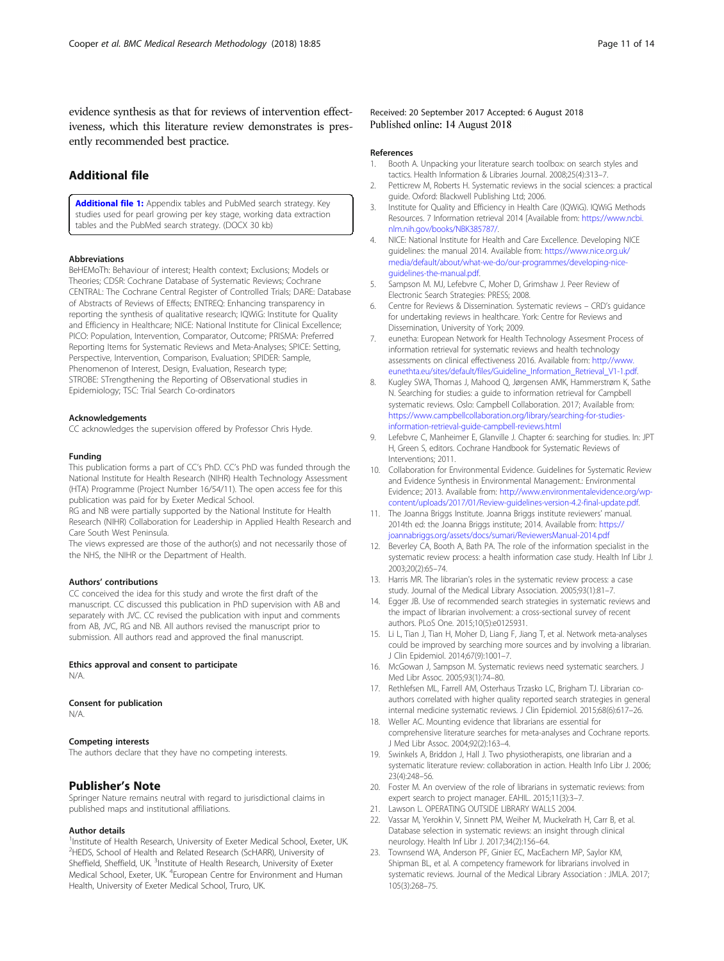<span id="page-10-0"></span>evidence synthesis as that for reviews of intervention effectiveness, which this literature review demonstrates is presently recommended best practice.

# Additional file

[Additional file 1:](https://doi.org/10.1186/s12874-018-0545-3) Appendix tables and PubMed search strategy. Key studies used for pearl growing per key stage, working data extraction tables and the PubMed search strategy. (DOCX 30 kb)

#### Abbreviations

BeHEMoTh: Behaviour of interest; Health context; Exclusions; Models or Theories; CDSR: Cochrane Database of Systematic Reviews; Cochrane CENTRAL: The Cochrane Central Register of Controlled Trials; DARE: Database of Abstracts of Reviews of Effects; ENTREQ: Enhancing transparency in reporting the synthesis of qualitative research; IQWiG: Institute for Quality and Efficiency in Healthcare; NICE: National Institute for Clinical Excellence; PICO: Population, Intervention, Comparator, Outcome; PRISMA: Preferred Reporting Items for Systematic Reviews and Meta-Analyses; SPICE: Setting, Perspective, Intervention, Comparison, Evaluation; SPIDER: Sample, Phenomenon of Interest, Design, Evaluation, Research type; STROBE: STrengthening the Reporting of OBservational studies in Epidemiology; TSC: Trial Search Co-ordinators

#### Acknowledgements

CC acknowledges the supervision offered by Professor Chris Hyde.

#### Funding

This publication forms a part of CC's PhD. CC's PhD was funded through the National Institute for Health Research (NIHR) Health Technology Assessment (HTA) Programme (Project Number 16/54/11). The open access fee for this publication was paid for by Exeter Medical School.

RG and NB were partially supported by the National Institute for Health Research (NIHR) Collaboration for Leadership in Applied Health Research and Care South West Peninsula.

The views expressed are those of the author(s) and not necessarily those of the NHS, the NIHR or the Department of Health.

#### Authors' contributions

CC conceived the idea for this study and wrote the first draft of the manuscript. CC discussed this publication in PhD supervision with AB and separately with JVC. CC revised the publication with input and comments from AB, JVC, RG and NB. All authors revised the manuscript prior to submission. All authors read and approved the final manuscript.

# Ethics approval and consent to participate

N/A.

#### Consent for publication

N/A.

#### Competing interests

The authors declare that they have no competing interests.

# Publisher's Note

Springer Nature remains neutral with regard to jurisdictional claims in published maps and institutional affiliations.

#### Author details

<sup>1</sup>Institute of Health Research, University of Exeter Medical School, Exeter, UK. 2 HEDS, School of Health and Related Research (ScHARR), University of Sheffield, Sheffield, UK. <sup>3</sup>Institute of Health Research, University of Exeter Medical School, Exeter, UK. <sup>4</sup>European Centre for Environment and Human Health, University of Exeter Medical School, Truro, UK.

#### Received: 20 September 2017 Accepted: 6 August 2018 Published online: 14 August 2018

#### References

- 1. Booth A. Unpacking your literature search toolbox: on search styles and tactics. Health Information & Libraries Journal. 2008;25(4):313–7.
- 2. Petticrew M, Roberts H. Systematic reviews in the social sciences: a practical guide. Oxford: Blackwell Publishing Ltd; 2006.
- 3. Institute for Quality and Efficiency in Health Care (IQWiG). IQWiG Methods Resources. 7 Information retrieval 2014 [Available from: https://www.ncbi. nlm.nih.gov/books/NBK385787/.
- 4. NICE: National Institute for Health and Care Excellence. Developing NICE guidelines: the manual 2014. Available from: https://www.nice.org.uk/ media/default/about/what-we-do/our-programmes/developing-niceguidelines-the-manual.pdf.
- 5. Sampson M. MJ, Lefebvre C, Moher D, Grimshaw J. Peer Review of Electronic Search Strategies: PRESS; 2008.
- 6. Centre for Reviews & Dissemination. Systematic reviews CRD's guidance for undertaking reviews in healthcare. York: Centre for Reviews and Dissemination, University of York; 2009.
- 7. eunetha: European Network for Health Technology Assesment Process of information retrieval for systematic reviews and health technology assessments on clinical effectiveness 2016. Available from: http://www. eunethta.eu/sites/default/files/Guideline\_Information\_Retrieval\_V1-1.pdf.
- 8. Kugley SWA, Thomas J, Mahood Q, Jørgensen AMK, Hammerstrøm K, Sathe N. Searching for studies: a guide to information retrieval for Campbell systematic reviews. Oslo: Campbell Collaboration. 2017; Available from: https://www.campbellcollaboration.org/library/searching-for-studiesinformation-retrieval-guide-campbell-reviews.html
- 9. Lefebvre C, Manheimer E, Glanville J. Chapter 6: searching for studies. In: JPT H, Green S, editors. Cochrane Handbook for Systematic Reviews of Interventions; 2011.
- 10. Collaboration for Environmental Evidence. Guidelines for Systematic Review and Evidence Synthesis in Environmental Management.: Environmental Evidence:; 2013. Available from: http://www.environmentalevidence.org/wpcontent/uploads/2017/01/Review-guidelines-version-4.2-final-update.pdf.
- 11. The Joanna Briggs Institute. Joanna Briggs institute reviewers' manual. 2014th ed: the Joanna Briggs institute; 2014. Available from: https:// joannabriggs.org/assets/docs/sumari/ReviewersManual-2014.pdf
- 12. Beverley CA, Booth A, Bath PA. The role of the information specialist in the systematic review process: a health information case study. Health Inf Libr J. 2003;20(2):65–74.
- 13. Harris MR. The librarian's roles in the systematic review process: a case study. Journal of the Medical Library Association. 2005;93(1):81–7.
- 14. Egger JB. Use of recommended search strategies in systematic reviews and the impact of librarian involvement: a cross-sectional survey of recent authors. PLoS One. 2015;10(5):e0125931.
- 15. Li L, Tian J, Tian H, Moher D, Liang F, Jiang T, et al. Network meta-analyses could be improved by searching more sources and by involving a librarian. J Clin Epidemiol. 2014;67(9):1001–7.
- 16. McGowan J, Sampson M. Systematic reviews need systematic searchers. J Med Libr Assoc. 2005;93(1):74–80.
- 17. Rethlefsen ML, Farrell AM, Osterhaus Trzasko LC, Brigham TJ. Librarian coauthors correlated with higher quality reported search strategies in general internal medicine systematic reviews. J Clin Epidemiol. 2015;68(6):617–26.
- 18. Weller AC. Mounting evidence that librarians are essential for comprehensive literature searches for meta-analyses and Cochrane reports. J Med Libr Assoc. 2004;92(2):163–4.
- 19. Swinkels A, Briddon J, Hall J. Two physiotherapists, one librarian and a systematic literature review: collaboration in action. Health Info Libr J. 2006; 23(4):248–56.
- 20. Foster M. An overview of the role of librarians in systematic reviews: from expert search to project manager. EAHIL. 2015;11(3):3–7.
- 21. Lawson L. OPERATING OUTSIDE LIBRARY WALLS 2004.
- 22. Vassar M, Yerokhin V, Sinnett PM, Weiher M, Muckelrath H, Carr B, et al. Database selection in systematic reviews: an insight through clinical neurology. Health Inf Libr J. 2017;34(2):156–64.
- 23. Townsend WA, Anderson PF, Ginier EC, MacEachern MP, Saylor KM, Shipman BL, et al. A competency framework for librarians involved in systematic reviews. Journal of the Medical Library Association : JMLA. 2017; 105(3):268–75.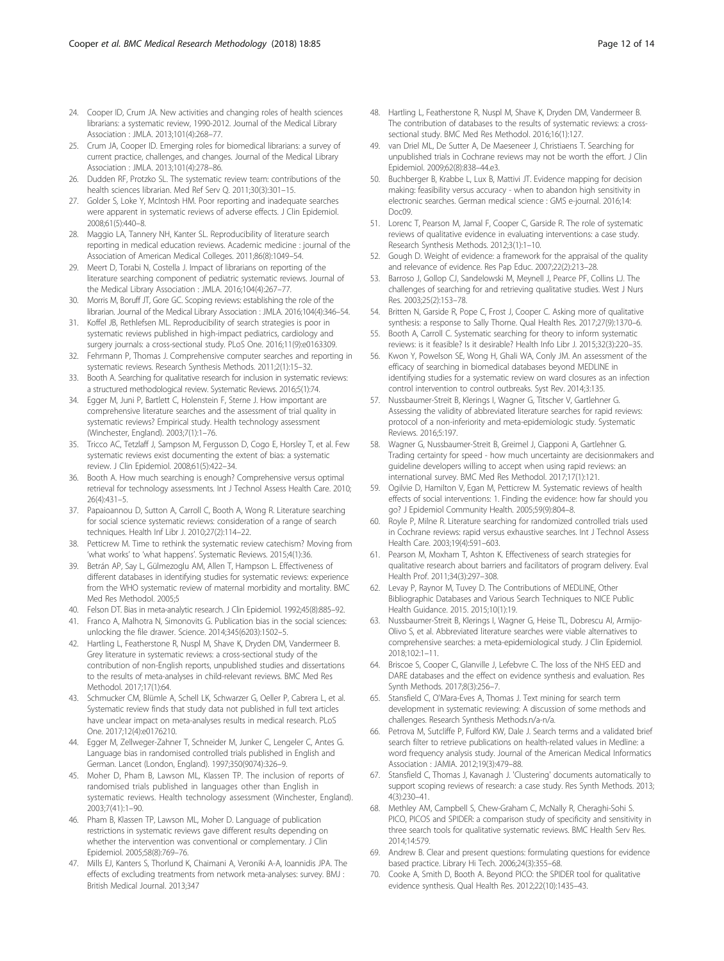- <span id="page-11-0"></span>24. Cooper ID, Crum JA. New activities and changing roles of health sciences librarians: a systematic review, 1990-2012. Journal of the Medical Library Association : JMLA. 2013;101(4):268–77.
- 25. Crum JA, Cooper ID. Emerging roles for biomedical librarians: a survey of current practice, challenges, and changes. Journal of the Medical Library Association : JMLA. 2013;101(4):278–86.
- 26. Dudden RF, Protzko SL. The systematic review team: contributions of the health sciences librarian. Med Ref Serv Q. 2011;30(3):301–15.
- 27. Golder S, Loke Y, McIntosh HM. Poor reporting and inadequate searches were apparent in systematic reviews of adverse effects. J Clin Epidemiol. 2008;61(5):440–8.
- 28. Maggio LA, Tannery NH, Kanter SL. Reproducibility of literature search reporting in medical education reviews. Academic medicine : journal of the Association of American Medical Colleges. 2011;86(8):1049–54.
- 29. Meert D, Torabi N, Costella J. Impact of librarians on reporting of the literature searching component of pediatric systematic reviews. Journal of the Medical Library Association : JMLA. 2016;104(4):267–77.
- 30. Morris M, Boruff JT, Gore GC. Scoping reviews: establishing the role of the librarian. Journal of the Medical Library Association : JMLA. 2016;104(4):346–54.
- 31. Koffel JB, Rethlefsen ML. Reproducibility of search strategies is poor in systematic reviews published in high-impact pediatrics, cardiology and surgery journals: a cross-sectional study. PLoS One. 2016;11(9):e0163309.
- 32. Fehrmann P, Thomas J. Comprehensive computer searches and reporting in systematic reviews. Research Synthesis Methods. 2011;2(1):15–32.
- 33. Booth A. Searching for qualitative research for inclusion in systematic reviews: a structured methodological review. Systematic Reviews. 2016;5(1):74.
- 34. Egger M, Juni P, Bartlett C, Holenstein F, Sterne J. How important are comprehensive literature searches and the assessment of trial quality in systematic reviews? Empirical study. Health technology assessment (Winchester, England). 2003;7(1):1–76.
- 35. Tricco AC, Tetzlaff J, Sampson M, Fergusson D, Cogo E, Horsley T, et al. Few systematic reviews exist documenting the extent of bias: a systematic review. J Clin Epidemiol. 2008;61(5):422–34.
- 36. Booth A. How much searching is enough? Comprehensive versus optimal retrieval for technology assessments. Int J Technol Assess Health Care. 2010; 26(4):431–5.
- 37. Papaioannou D, Sutton A, Carroll C, Booth A, Wong R. Literature searching for social science systematic reviews: consideration of a range of search techniques. Health Inf Libr J. 2010;27(2):114–22.
- 38. Petticrew M. Time to rethink the systematic review catechism? Moving from 'what works' to 'what happens'. Systematic Reviews. 2015;4(1):36.
- 39. Betrán AP, Say L, Gülmezoglu AM, Allen T, Hampson L. Effectiveness of different databases in identifying studies for systematic reviews: experience from the WHO systematic review of maternal morbidity and mortality. BMC Med Res Methodol. 2005;5
- 40. Felson DT. Bias in meta-analytic research. J Clin Epidemiol. 1992;45(8):885–92.
- 41. Franco A, Malhotra N, Simonovits G. Publication bias in the social sciences: unlocking the file drawer. Science. 2014;345(6203):1502–5.
- 42. Hartling L, Featherstone R, Nuspl M, Shave K, Dryden DM, Vandermeer B. Grey literature in systematic reviews: a cross-sectional study of the contribution of non-English reports, unpublished studies and dissertations to the results of meta-analyses in child-relevant reviews. BMC Med Res Methodol. 2017;17(1):64.
- 43. Schmucker CM, Blümle A, Schell LK, Schwarzer G, Oeller P, Cabrera L, et al. Systematic review finds that study data not published in full text articles have unclear impact on meta-analyses results in medical research. PLoS One. 2017;12(4):e0176210.
- 44. Egger M, Zellweger-Zahner T, Schneider M, Junker C, Lengeler C, Antes G. Language bias in randomised controlled trials published in English and German. Lancet (London, England). 1997;350(9074):326–9.
- 45. Moher D, Pham B, Lawson ML, Klassen TP. The inclusion of reports of randomised trials published in languages other than English in systematic reviews. Health technology assessment (Winchester, England). 2003;7(41):1–90.
- 46. Pham B, Klassen TP, Lawson ML, Moher D. Language of publication restrictions in systematic reviews gave different results depending on whether the intervention was conventional or complementary. J Clin Epidemiol. 2005;58(8):769–76.
- 47. Mills EJ, Kanters S, Thorlund K, Chaimani A, Veroniki A-A, Ioannidis JPA. The effects of excluding treatments from network meta-analyses: survey. BMJ : British Medical Journal. 2013;347
- 48. Hartling L, Featherstone R, Nuspl M, Shave K, Dryden DM, Vandermeer B. The contribution of databases to the results of systematic reviews: a crosssectional study. BMC Med Res Methodol. 2016;16(1):127.
- 49. van Driel ML, De Sutter A, De Maeseneer J, Christiaens T. Searching for unpublished trials in Cochrane reviews may not be worth the effort. J Clin Epidemiol. 2009;62(8):838–44.e3.
- 50. Buchberger B, Krabbe L, Lux B, Mattivi JT. Evidence mapping for decision making: feasibility versus accuracy - when to abandon high sensitivity in electronic searches. German medical science : GMS e-journal. 2016;14: Doc09.
- 51. Lorenc T, Pearson M, Jamal F, Cooper C, Garside R. The role of systematic reviews of qualitative evidence in evaluating interventions: a case study. Research Synthesis Methods. 2012;3(1):1–10.
- 52. Gough D. Weight of evidence: a framework for the appraisal of the quality and relevance of evidence. Res Pap Educ. 2007;22(2):213–28.
- 53. Barroso J, Gollop CJ, Sandelowski M, Meynell J, Pearce PF, Collins LJ. The challenges of searching for and retrieving qualitative studies. West J Nurs Res. 2003;25(2):153–78.
- 54. Britten N, Garside R, Pope C, Frost J, Cooper C. Asking more of qualitative synthesis: a response to Sally Thorne. Qual Health Res. 2017;27(9):1370–6.
- 55. Booth A, Carroll C. Systematic searching for theory to inform systematic reviews: is it feasible? Is it desirable? Health Info Libr J. 2015;32(3):220–35.
- 56. Kwon Y, Powelson SE, Wong H, Ghali WA, Conly JM. An assessment of the efficacy of searching in biomedical databases beyond MEDLINE in identifying studies for a systematic review on ward closures as an infection control intervention to control outbreaks. Syst Rev. 2014;3:135.
- 57. Nussbaumer-Streit B, Klerings I, Wagner G, Titscher V, Gartlehner G. Assessing the validity of abbreviated literature searches for rapid reviews: protocol of a non-inferiority and meta-epidemiologic study. Systematic Reviews. 2016;5:197.
- 58. Wagner G, Nussbaumer-Streit B, Greimel J, Ciapponi A, Gartlehner G. Trading certainty for speed - how much uncertainty are decisionmakers and guideline developers willing to accept when using rapid reviews: an international survey. BMC Med Res Methodol. 2017;17(1):121.
- 59. Ogilvie D, Hamilton V, Egan M, Petticrew M. Systematic reviews of health effects of social interventions: 1. Finding the evidence: how far should you go? J Epidemiol Community Health. 2005;59(9):804–8.
- 60. Royle P, Milne R. Literature searching for randomized controlled trials used in Cochrane reviews: rapid versus exhaustive searches. Int J Technol Assess Health Care. 2003;19(4):591–603.
- 61. Pearson M, Moxham T, Ashton K. Effectiveness of search strategies for qualitative research about barriers and facilitators of program delivery. Eval Health Prof. 2011;34(3):297–308.
- 62. Levay P, Raynor M, Tuvey D. The Contributions of MEDLINE, Other Bibliographic Databases and Various Search Techniques to NICE Public Health Guidance. 2015. 2015;10(1):19.
- 63. Nussbaumer-Streit B, Klerings I, Wagner G, Heise TL, Dobrescu AI, Armijo-Olivo S, et al. Abbreviated literature searches were viable alternatives to comprehensive searches: a meta-epidemiological study. J Clin Epidemiol. 2018;102:1–11.
- 64. Briscoe S, Cooper C, Glanville J, Lefebvre C. The loss of the NHS EED and DARE databases and the effect on evidence synthesis and evaluation. Res Synth Methods. 2017;8(3):256–7.
- Stansfield C, O'Mara-Eves A, Thomas J. Text mining for search term development in systematic reviewing: A discussion of some methods and challenges. Research Synthesis Methods.n/a-n/a.
- 66. Petrova M, Sutcliffe P, Fulford KW, Dale J. Search terms and a validated brief search filter to retrieve publications on health-related values in Medline: a word frequency analysis study. Journal of the American Medical Informatics Association : JAMIA. 2012;19(3):479–88.
- 67. Stansfield C, Thomas J, Kavanagh J. 'Clustering' documents automatically to support scoping reviews of research: a case study. Res Synth Methods. 2013; 4(3):230–41.
- 68. Methley AM, Campbell S, Chew-Graham C, McNally R, Cheraghi-Sohi S. PICO, PICOS and SPIDER: a comparison study of specificity and sensitivity in three search tools for qualitative systematic reviews. BMC Health Serv Res. 2014;14:579.
- 69. Andrew B. Clear and present questions: formulating questions for evidence based practice. Library Hi Tech. 2006;24(3):355–68.
- 70. Cooke A, Smith D, Booth A. Beyond PICO: the SPIDER tool for qualitative evidence synthesis. Qual Health Res. 2012;22(10):1435–43.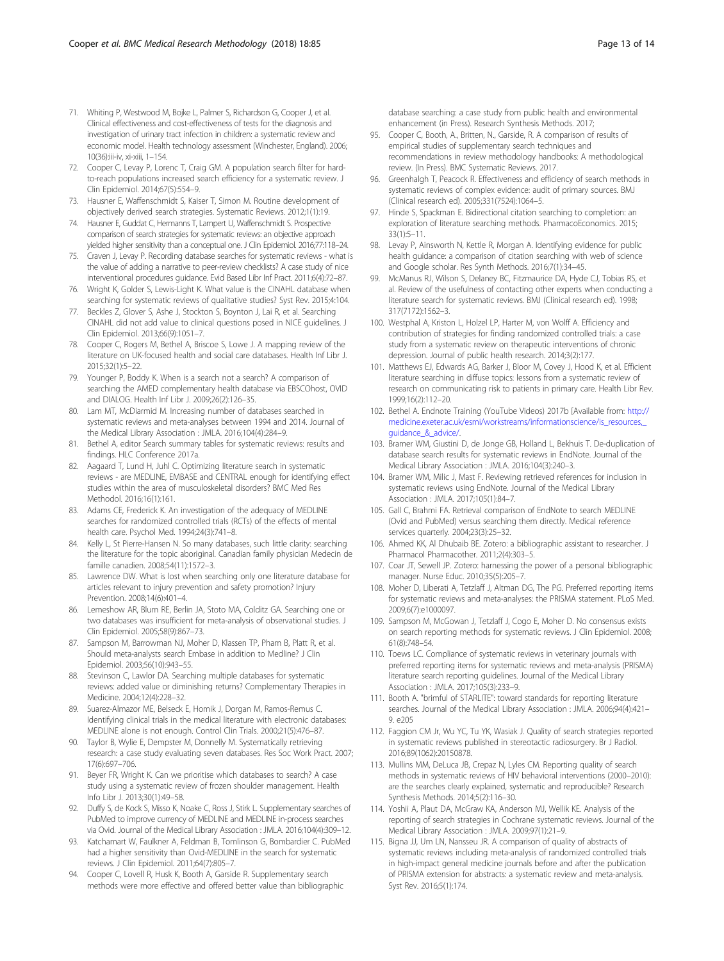- <span id="page-12-0"></span>71. Whiting P, Westwood M, Bojke L, Palmer S, Richardson G, Cooper J, et al. Clinical effectiveness and cost-effectiveness of tests for the diagnosis and investigation of urinary tract infection in children: a systematic review and economic model. Health technology assessment (Winchester, England). 2006; 10(36):iii-iv, xi-xiii, 1–154.
- 72. Cooper C, Levay P, Lorenc T, Craig GM. A population search filter for hardto-reach populations increased search efficiency for a systematic review. J Clin Epidemiol. 2014;67(5):554–9.
- 73. Hausner E, Waffenschmidt S, Kaiser T, Simon M. Routine development of objectively derived search strategies. Systematic Reviews. 2012;1(1):19.
- 74. Hausner E, Guddat C, Hermanns T, Lampert U, Waffenschmidt S. Prospective comparison of search strategies for systematic reviews: an objective approach yielded higher sensitivity than a conceptual one. J Clin Epidemiol. 2016;77:118–24.
- 75. Craven J, Levay P. Recording database searches for systematic reviews what is the value of adding a narrative to peer-review checklists? A case study of nice interventional procedures guidance. Evid Based Libr Inf Pract. 2011;6(4):72–87.
- 76. Wright K, Golder S, Lewis-Light K. What value is the CINAHL database when searching for systematic reviews of qualitative studies? Syst Rev. 2015;4:104.
- 77. Beckles Z, Glover S, Ashe J, Stockton S, Boynton J, Lai R, et al. Searching CINAHL did not add value to clinical questions posed in NICE guidelines. J Clin Epidemiol. 2013;66(9):1051–7.
- 78. Cooper C, Rogers M, Bethel A, Briscoe S, Lowe J. A mapping review of the literature on UK-focused health and social care databases. Health Inf Libr J. 2015;32(1):5–22.
- 79. Younger P, Boddy K. When is a search not a search? A comparison of searching the AMED complementary health database via EBSCOhost, OVID and DIALOG. Health Inf Libr J. 2009;26(2):126–35.
- 80. Lam MT, McDiarmid M. Increasing number of databases searched in systematic reviews and meta-analyses between 1994 and 2014. Journal of the Medical Library Association : JMLA. 2016;104(4):284–9.
- 81. Bethel A, editor Search summary tables for systematic reviews: results and findings. HLC Conference 2017a.
- 82. Aagaard T, Lund H, Juhl C. Optimizing literature search in systematic reviews - are MEDLINE, EMBASE and CENTRAL enough for identifying effect studies within the area of musculoskeletal disorders? BMC Med Res Methodol. 2016;16(1):161.
- 83. Adams CE, Frederick K. An investigation of the adequacy of MEDLINE searches for randomized controlled trials (RCTs) of the effects of mental health care. Psychol Med. 1994;24(3):741–8.
- 84. Kelly L, St Pierre-Hansen N. So many databases, such little clarity: searching the literature for the topic aboriginal. Canadian family physician Medecin de famille canadien. 2008;54(11):1572–3.
- 85. Lawrence DW. What is lost when searching only one literature database for articles relevant to injury prevention and safety promotion? Injury Prevention. 2008;14(6):401–4.
- 86. Lemeshow AR, Blum RE, Berlin JA, Stoto MA, Colditz GA. Searching one or two databases was insufficient for meta-analysis of observational studies. J Clin Epidemiol. 2005;58(9):867–73.
- 87. Sampson M, Barrowman NJ, Moher D, Klassen TP, Pham B, Platt R, et al. Should meta-analysts search Embase in addition to Medline? J Clin Epidemiol. 2003;56(10):943–55.
- 88. Stevinson C, Lawlor DA. Searching multiple databases for systematic reviews: added value or diminishing returns? Complementary Therapies in Medicine. 2004;12(4):228–32.
- 89. Suarez-Almazor ME, Belseck E, Homik J, Dorgan M, Ramos-Remus C. Identifying clinical trials in the medical literature with electronic databases: MEDLINE alone is not enough. Control Clin Trials. 2000;21(5):476–87.
- 90. Taylor B, Wylie E, Dempster M, Donnelly M. Systematically retrieving research: a case study evaluating seven databases. Res Soc Work Pract. 2007; 17(6):697–706.
- 91. Beyer FR, Wright K. Can we prioritise which databases to search? A case study using a systematic review of frozen shoulder management. Health Info Libr J. 2013;30(1):49–58.
- 92. Duffy S, de Kock S, Misso K, Noake C, Ross J, Stirk L. Supplementary searches of PubMed to improve currency of MEDLINE and MEDLINE in-process searches via Ovid. Journal of the Medical Library Association : JMLA. 2016;104(4):309–12.
- 93. Katchamart W, Faulkner A, Feldman B, Tomlinson G, Bombardier C. PubMed had a higher sensitivity than Ovid-MEDLINE in the search for systematic reviews. J Clin Epidemiol. 2011;64(7):805–7.
- 94. Cooper C, Lovell R, Husk K, Booth A, Garside R. Supplementary search methods were more effective and offered better value than bibliographic

database searching: a case study from public health and environmental enhancement (in Press). Research Synthesis Methods. 2017;

- 95. Cooper C, Booth, A., Britten, N., Garside, R. A comparison of results of empirical studies of supplementary search techniques and recommendations in review methodology handbooks: A methodological review. (In Press). BMC Systematic Reviews. 2017.
- 96. Greenhalgh T, Peacock R. Effectiveness and efficiency of search methods in systematic reviews of complex evidence: audit of primary sources. BMJ (Clinical research ed). 2005;331(7524):1064–5.
- 97. Hinde S, Spackman E. Bidirectional citation searching to completion: an exploration of literature searching methods. PharmacoEconomics. 2015; 33(1):5–11.
- 98. Levay P, Ainsworth N, Kettle R, Morgan A. Identifying evidence for public health guidance: a comparison of citation searching with web of science and Google scholar. Res Synth Methods. 2016;7(1):34–45.
- 99. McManus RJ, Wilson S, Delaney BC, Fitzmaurice DA, Hyde CJ, Tobias RS, et al. Review of the usefulness of contacting other experts when conducting a literature search for systematic reviews. BMJ (Clinical research ed). 1998; 317(7172):1562–3.
- 100. Westphal A, Kriston L, Holzel LP, Harter M, von Wolff A. Efficiency and contribution of strategies for finding randomized controlled trials: a case study from a systematic review on therapeutic interventions of chronic depression. Journal of public health research. 2014;3(2):177.
- 101. Matthews EJ, Edwards AG, Barker J, Bloor M, Covey J, Hood K, et al. Efficient literature searching in diffuse topics: lessons from a systematic review of research on communicating risk to patients in primary care. Health Libr Rev. 1999;16(2):112–20.
- 102. Bethel A. Endnote Training (YouTube Videos) 2017b [Available from: http:// medicine.exeter.ac.uk/esmi/workstreams/informationscience/is\_resources,\_ guidance\_&\_advice/.
- 103. Bramer WM, Giustini D, de Jonge GB, Holland L, Bekhuis T. De-duplication of database search results for systematic reviews in EndNote. Journal of the Medical Library Association : JMLA. 2016;104(3):240–3.
- 104. Bramer WM, Milic J, Mast F. Reviewing retrieved references for inclusion in systematic reviews using EndNote. Journal of the Medical Library Association : JMLA. 2017;105(1):84–7.
- 105. Gall C, Brahmi FA. Retrieval comparison of EndNote to search MEDLINE (Ovid and PubMed) versus searching them directly. Medical reference services quarterly. 2004;23(3):25–32.
- 106. Ahmed KK, Al Dhubaib BE. Zotero: a bibliographic assistant to researcher. J Pharmacol Pharmacother. 2011;2(4):303–5.
- 107. Coar JT, Sewell JP. Zotero: harnessing the power of a personal bibliographic manager. Nurse Educ. 2010;35(5):205–7.
- 108. Moher D, Liberati A, Tetzlaff J, Altman DG, The PG. Preferred reporting items for systematic reviews and meta-analyses: the PRISMA statement. PLoS Med. 2009;6(7):e1000097.
- 109. Sampson M, McGowan J, Tetzlaff J, Cogo E, Moher D. No consensus exists on search reporting methods for systematic reviews. J Clin Epidemiol. 2008; 61(8):748–54.
- 110. Toews LC. Compliance of systematic reviews in veterinary journals with preferred reporting items for systematic reviews and meta-analysis (PRISMA) literature search reporting guidelines. Journal of the Medical Library Association : JMLA. 2017;105(3):233–9.
- 111. Booth A. "brimful of STARLITE": toward standards for reporting literature searches. Journal of the Medical Library Association : JMLA. 2006;94(4):421– 9. e205
- 112. Faggion CM Jr, Wu YC, Tu YK, Wasiak J. Quality of search strategies reported in systematic reviews published in stereotactic radiosurgery. Br J Radiol. 2016;89(1062):20150878.
- 113. Mullins MM, DeLuca JB, Crepaz N, Lyles CM. Reporting quality of search methods in systematic reviews of HIV behavioral interventions (2000–2010): are the searches clearly explained, systematic and reproducible? Research Synthesis Methods. 2014;5(2):116–30.
- 114. Yoshii A, Plaut DA, McGraw KA, Anderson MJ, Wellik KE. Analysis of the reporting of search strategies in Cochrane systematic reviews. Journal of the Medical Library Association : JMLA. 2009;97(1):21–9.
- 115. Bigna JJ, Um LN, Nansseu JR. A comparison of quality of abstracts of systematic reviews including meta-analysis of randomized controlled trials in high-impact general medicine journals before and after the publication of PRISMA extension for abstracts: a systematic review and meta-analysis. Syst Rev. 2016;5(1):174.